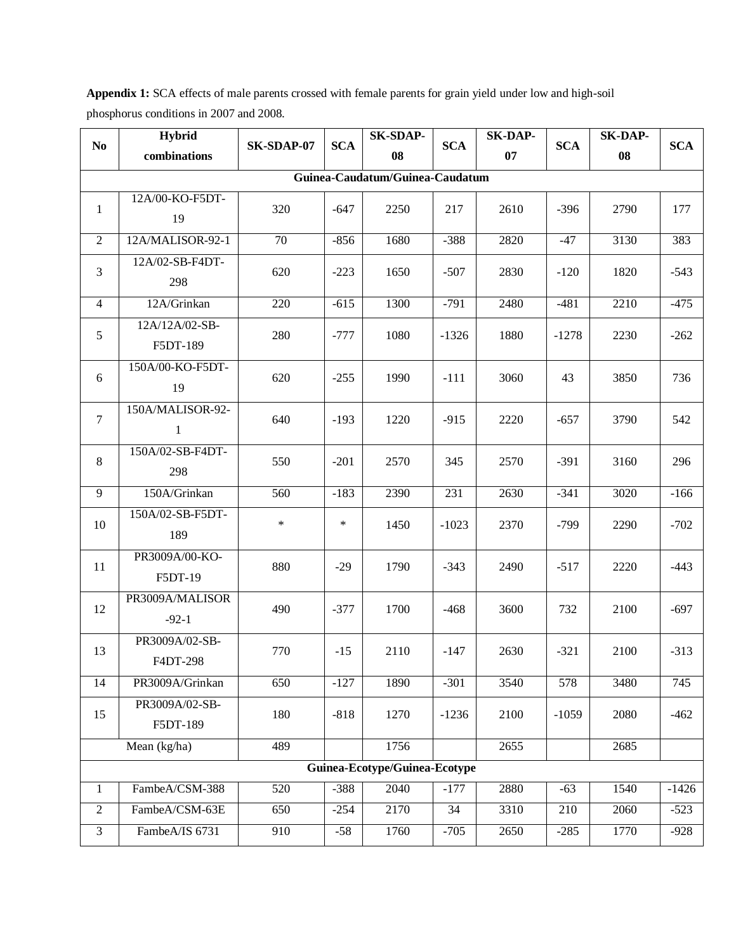**Appendix 1:** SCA effects of male parents crossed with female parents for grain yield under low and high-soil phosphorus conditions in 2007 and 2008.

| No                  | Hybrid                     | SK-SDAP-07 | <b>SCA</b> | <b>SK-SDAP-</b>                 | <b>SCA</b>      | <b>SK-DAP-</b> | <b>SCA</b> | <b>SK-DAP-</b> | <b>SCA</b> |
|---------------------|----------------------------|------------|------------|---------------------------------|-----------------|----------------|------------|----------------|------------|
|                     | combinations               |            |            | 08                              |                 | 07             |            | 08             |            |
|                     |                            |            |            | Guinea-Caudatum/Guinea-Caudatum |                 |                |            |                |            |
| $\mathbf{1}$        | 12A/00-KO-F5DT-<br>19      | 320        | $-647$     | 2250                            | 217             | 2610           | $-396$     | 2790           | 177        |
| $\overline{2}$      | 12A/MALISOR-92-1           | 70         | $-856$     | 1680                            | $-388$          | 2820           | $-47$      | 3130           | 383        |
| $\overline{3}$      | 12A/02-SB-F4DT-<br>298     | 620        | $-223$     | 1650                            | $-507$          | 2830           | $-120$     | 1820           | $-543$     |
| $\overline{4}$      | 12A/Grinkan                | 220        | $-615$     | 1300                            | $-791$          | 2480           | $-481$     | 2210           | $-475$     |
| 5                   | 12A/12A/02-SB-<br>F5DT-189 | 280        | $-777$     | 1080                            | $-1326$         | 1880           | $-1278$    | 2230           | $-262$     |
| 6                   | 150A/00-KO-F5DT-<br>19     | 620        | $-255$     | 1990                            | $-111$          | 3060           | 43         | 3850           | 736        |
| $\tau$              | 150A/MALISOR-92-<br>1      | 640        | $-193$     | 1220                            | $-915$          | 2220           | $-657$     | 3790           | 542        |
| 8                   | 150A/02-SB-F4DT-<br>298    | 550        | $-201$     | 2570                            | 345             | 2570           | $-391$     | 3160           | 296        |
| $\overline{9}$      | 150A/Grinkan               | 560        | $-183$     | 2390                            | 231             | 2630           | $-341$     | 3020           | $-166$     |
| 10                  | 150A/02-SB-F5DT-<br>189    | $\ast$     | $\ast$     | 1450                            | $-1023$         | 2370           | $-799$     | 2290           | $-702$     |
| 11                  | PR3009A/00-KO-<br>F5DT-19  | 880        | $-29$      | 1790                            | $-343$          | 2490           | $-517$     | 2220           | $-443$     |
| 12                  | PR3009A/MALISOR<br>$-92-1$ | 490        | $-377$     | 1700                            | $-468$          | 3600           | 732        | 2100           | $-697$     |
| 13                  | PR3009A/02-SB-<br>F4DT-298 | 770        | $-15$      | 2110                            | $-147$          | 2630           | $-321$     | 2100           | $-313$     |
| 14                  | PR3009A/Grinkan            | 650        | $-127$     | 1890                            | $-301$          | 3540           | 578        | 3480           | 745        |
| 15                  | PR3009A/02-SB-<br>F5DT-189 | 180        | $-818$     | 1270                            | $-1236$         | 2100           | $-1059$    | 2080           | $-462$     |
| Mean (kg/ha)<br>489 |                            |            |            | 1756                            |                 | 2655           |            | 2685           |            |
|                     |                            |            |            | Guinea-Ecotype/Guinea-Ecotype   |                 |                |            |                |            |
| $\mathbf{1}$        | FambeA/CSM-388             | 520        | $-388$     | 2040                            | $-177$          | 2880           | $-63$      | 1540           | $-1426$    |
| $\overline{2}$      | FambeA/CSM-63E             | 650        | $-254$     | 2170                            | $\overline{34}$ | 3310           | 210        | 2060           | $-523$     |
| $\overline{3}$      | FambeA/IS 6731             | 910        | $-58$      | 1760                            | $-705$          | 2650           | $-285$     | 1770           | $-928$     |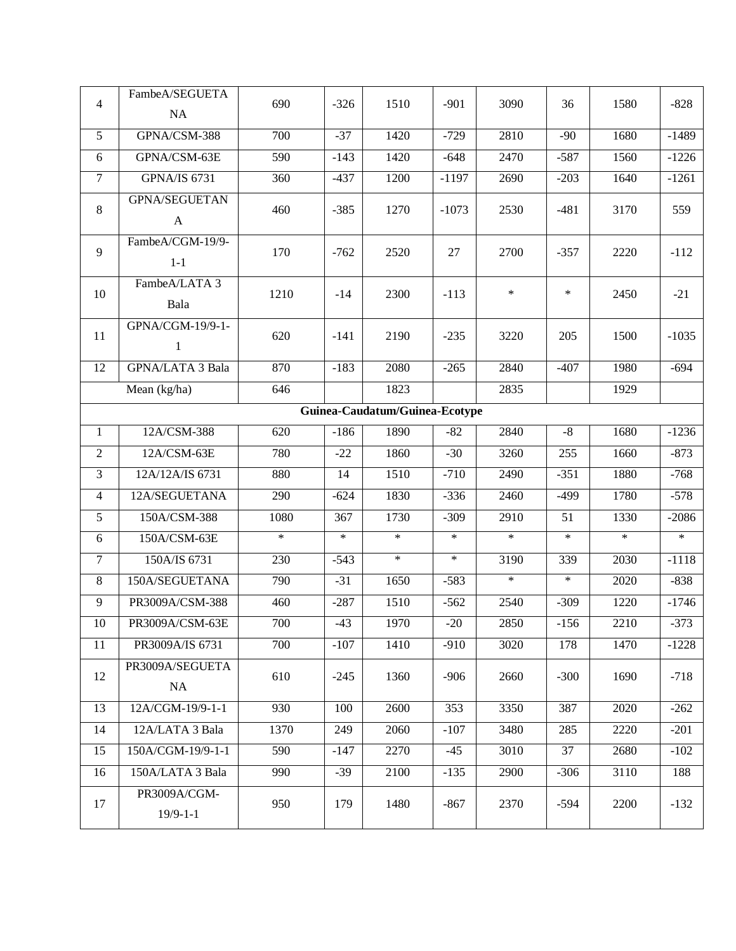| $\overline{4}$                 | FambeA/SEGUETA<br>NA                 | 690    | $-326$ | 1510   | $-901$  | 3090   | 36              | 1580   | $-828$  |  |
|--------------------------------|--------------------------------------|--------|--------|--------|---------|--------|-----------------|--------|---------|--|
| $\overline{5}$                 | GPNA/CSM-388                         | 700    | $-37$  | 1420   | $-729$  | 2810   | $-90$           | 1680   | $-1489$ |  |
| 6                              | GPNA/CSM-63E                         | 590    | $-143$ | 1420   | $-648$  | 2470   | $-587$          | 1560   | $-1226$ |  |
| $\overline{7}$                 | <b>GPNA/IS 6731</b>                  | 360    | $-437$ | 1200   | $-1197$ | 2690   | $-203$          | 1640   | $-1261$ |  |
| 8                              | <b>GPNA/SEGUETAN</b><br>$\mathbf{A}$ | 460    | $-385$ | 1270   | $-1073$ | 2530   | $-481$          | 3170   | 559     |  |
| 9                              | FambeA/CGM-19/9-<br>$1-1$            | 170    | $-762$ | 2520   | 27      | 2700   | $-357$          | 2220   | $-112$  |  |
| 10                             | FambeA/LATA 3<br>Bala                | 1210   | $-14$  | 2300   | $-113$  | $\ast$ | $\ast$          | 2450   | $-21$   |  |
| 11                             | GPNA/CGM-19/9-1-<br>1                | 620    | $-141$ | 2190   | $-235$  | 3220   | 205             | 1500   | $-1035$ |  |
| 12                             | <b>GPNA/LATA 3 Bala</b>              | 870    | $-183$ | 2080   | $-265$  | 2840   | $-407$          | 1980   | $-694$  |  |
|                                | Mean (kg/ha)                         | 646    |        | 1823   |         | 2835   |                 | 1929   |         |  |
| Guinea-Caudatum/Guinea-Ecotype |                                      |        |        |        |         |        |                 |        |         |  |
| $\mathbf{1}$                   | 12A/CSM-388                          | 620    | $-186$ | 1890   | $-82$   | 2840   | $-8$            | 1680   | $-1236$ |  |
| $\overline{2}$                 | 12A/CSM-63E                          | 780    | $-22$  | 1860   | $-30$   | 3260   | 255             | 1660   | $-873$  |  |
| 3                              | 12A/12A/IS 6731                      | 880    | 14     | 1510   | $-710$  | 2490   | $-351$          | 1880   | $-768$  |  |
| $\overline{4}$                 | 12A/SEGUETANA                        | 290    | $-624$ | 1830   | $-336$  | 2460   | $-499$          | 1780   | $-578$  |  |
| $\overline{5}$                 | 150A/CSM-388                         | 1080   | 367    | 1730   | $-309$  | 2910   | $\overline{51}$ | 1330   | $-2086$ |  |
| 6                              | 150A/CSM-63E                         | $\ast$ | $\ast$ | $\ast$ | $\ast$  | $\ast$ | $\ast$          | $\ast$ | $\ast$  |  |
| $\tau$                         | 150A/IS 6731                         | 230    | $-543$ | $\ast$ | $\ast$  | 3190   | 339             | 2030   | $-1118$ |  |
| 8                              | 150A/SEGUETANA                       | 790    | $-31$  | 1650   | $-583$  | $\ast$ | $\ast$          | 2020   | $-838$  |  |
| 9                              | PR3009A/CSM-388                      | 460    | $-287$ | 1510   | $-562$  | 2540   | $-309$          | 1220   | $-1746$ |  |
| 10                             | PR3009A/CSM-63E                      | 700    | $-43$  | 1970   | $-20$   | 2850   | $-156$          | 2210   | $-373$  |  |
| 11                             | PR3009A/IS 6731                      | 700    | $-107$ | 1410   | $-910$  | 3020   | 178             | 1470   | $-1228$ |  |
| 12                             | PR3009A/SEGUETA<br>NA                | 610    | $-245$ | 1360   | $-906$  | 2660   | $-300$          | 1690   | $-718$  |  |
| 13                             | 12A/CGM-19/9-1-1                     | 930    | 100    | 2600   | 353     | 3350   | 387             | 2020   | $-262$  |  |
| 14                             | 12A/LATA 3 Bala                      | 1370   | 249    | 2060   | $-107$  | 3480   | 285             | 2220   | $-201$  |  |
| 15                             | 150A/CGM-19/9-1-1                    | 590    | $-147$ | 2270   | $-45$   | 3010   | 37              | 2680   | $-102$  |  |
| 16                             | 150A/LATA 3 Bala                     | 990    | $-39$  | 2100   | $-135$  | 2900   | $-306$          | 3110   | 188     |  |
| 17                             | PR3009A/CGM-<br>$19/9 - 1 - 1$       | 950    | 179    | 1480   | $-867$  | 2370   | $-594$          | 2200   | $-132$  |  |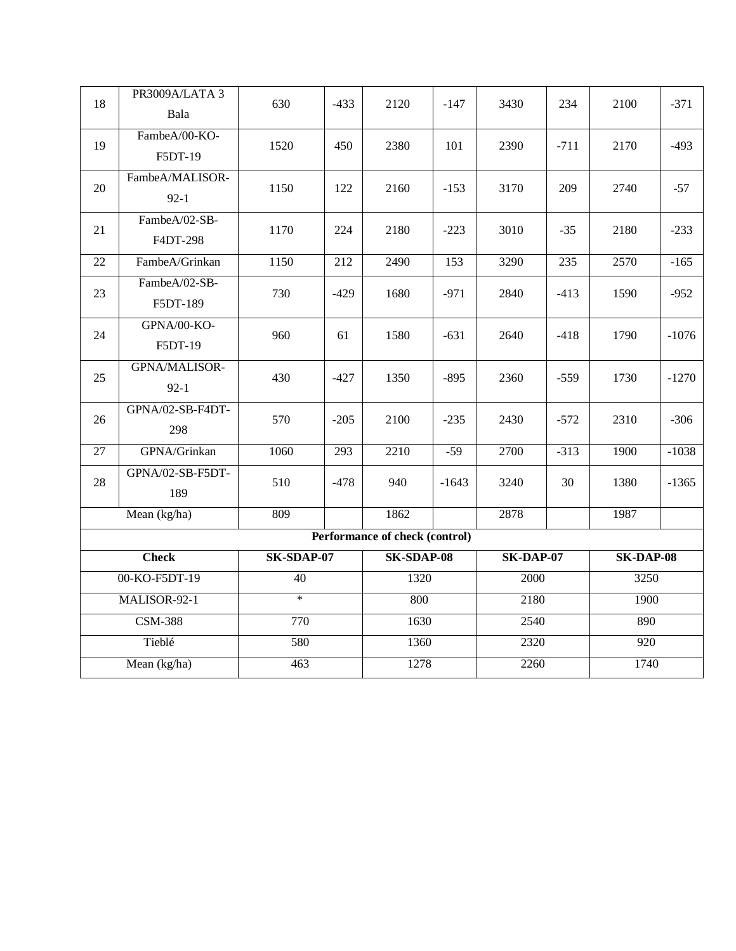| 18                         | PR3009A/LATA 3<br>Bala      | 630    | $-433$ | 2120                           | $-147$  | 3430             | 234    | 2100             | $-371$  |
|----------------------------|-----------------------------|--------|--------|--------------------------------|---------|------------------|--------|------------------|---------|
| 19                         | FambeA/00-KO-<br>F5DT-19    | 1520   | 450    | 2380                           | 101     | 2390             | $-711$ | 2170             | $-493$  |
| 20                         | FambeA/MALISOR-<br>$92 - 1$ | 1150   | 122    | 2160                           | $-153$  | 3170             | 209    | 2740             | $-57$   |
| 21                         | FambeA/02-SB-<br>F4DT-298   | 1170   | 224    | 2180                           | $-223$  | 3010             | $-35$  | 2180             | $-233$  |
| 22                         | FambeA/Grinkan              | 1150   | 212    | 2490                           | 153     | 3290             | 235    | 2570             | $-165$  |
| 23                         | FambeA/02-SB-<br>F5DT-189   | 730    | $-429$ | 1680                           | $-971$  | 2840             | $-413$ | 1590             | $-952$  |
| 24                         | GPNA/00-KO-<br>F5DT-19      | 960    | 61     | 1580                           | $-631$  | 2640             | $-418$ | 1790             | $-1076$ |
| 25                         | GPNA/MALISOR-<br>$92 - 1$   | 430    | $-427$ | 1350                           | $-895$  | 2360             | $-559$ | 1730             | $-1270$ |
| 26                         | GPNA/02-SB-F4DT-<br>298     | 570    | $-205$ | 2100                           | $-235$  | 2430             | $-572$ | 2310             | $-306$  |
| 27                         | GPNA/Grinkan                | 1060   | 293    | 2210                           | $-59$   | 2700             | $-313$ | 1900             | $-1038$ |
| 28                         | GPNA/02-SB-F5DT-<br>189     | 510    | $-478$ | 940                            | $-1643$ | 3240             | 30     | 1380             | $-1365$ |
|                            | Mean (kg/ha)                | 809    |        | 1862                           |         | 2878             |        | 1987             |         |
|                            |                             |        |        | Performance of check (control) |         |                  |        |                  |         |
| <b>Check</b><br>SK-SDAP-07 |                             |        |        | SK-SDAP-08                     |         | <b>SK-DAP-07</b> |        | <b>SK-DAP-08</b> |         |
| 00-KO-F5DT-19              |                             | 40     |        | 1320                           |         | 2000             |        | 3250             |         |
|                            | MALISOR-92-1                | $\ast$ |        | 800                            |         | 2180             |        | 1900             |         |
|                            | <b>CSM-388</b>              | 770    |        | 1630                           |         | 2540             |        | 890              |         |
|                            | Tieblé                      | 580    |        | 1360                           |         | 2320             |        | 920              |         |
|                            | Mean (kg/ha)                | 463    |        | 1278                           |         | 2260             |        | 1740             |         |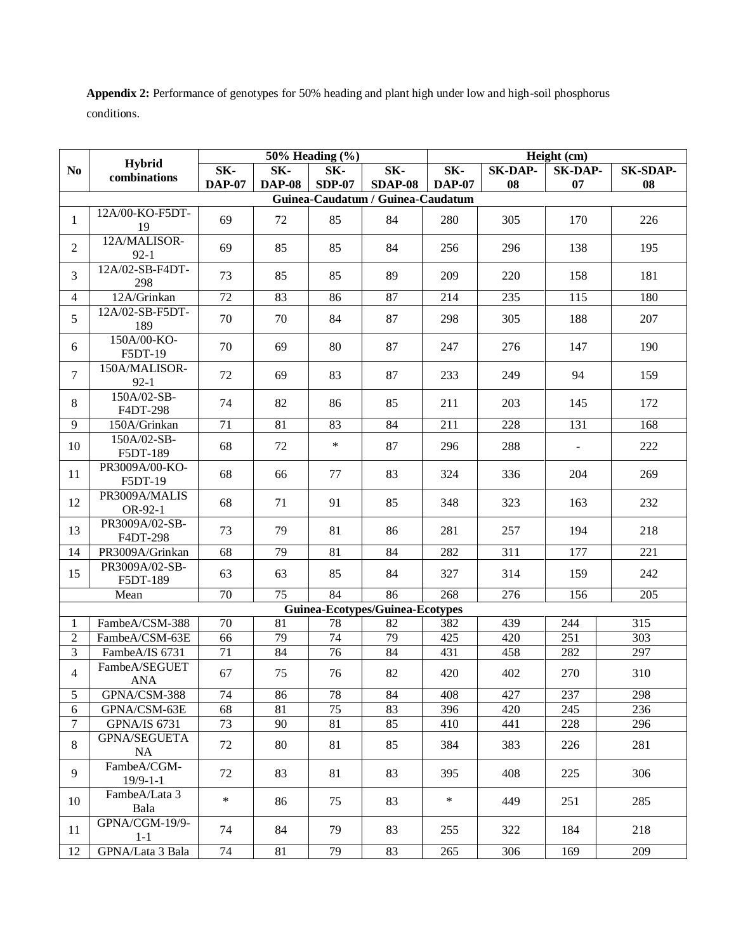**Appendix 2:** Performance of genotypes for 50% heading and plant high under low and high-soil phosphorus conditions.

|                                 |                               | 50% Heading $(\%$ |               |                 |                                   | Height (cm)            |                |                |                 |  |
|---------------------------------|-------------------------------|-------------------|---------------|-----------------|-----------------------------------|------------------------|----------------|----------------|-----------------|--|
| No                              | Hybrid<br>combinations        | SK-               | SK-           | SK-             | SK-                               | $\overline{\text{SK}}$ | <b>SK-DAP-</b> | <b>SK-DAP-</b> | <b>SK-SDAP-</b> |  |
|                                 |                               | <b>DAP-07</b>     | <b>DAP-08</b> | <b>SDP-07</b>   | <b>SDAP-08</b>                    | <b>DAP-07</b>          | 08             | 07             | 08              |  |
|                                 |                               |                   |               |                 | Guinea-Caudatum / Guinea-Caudatum |                        |                |                |                 |  |
| $\mathbf{1}$                    | 12A/00-KO-F5DT-<br>19         | 69                | 72            | 85              | 84                                | 280                    | 305            | 170            | 226             |  |
| $\overline{2}$                  | 12A/MALISOR-<br>$92 - 1$      | 69                | 85            | 85              | 84                                | 256                    | 296            | 138            | 195             |  |
| 3                               | 12A/02-SB-F4DT-<br>298        | 73                | 85            | 85              | 89                                | 209                    | 220            | 158            | 181             |  |
| $\overline{4}$                  | 12A/Grinkan                   | 72                | 83            | 86              | 87                                | 214                    | 235            | 115            | 180             |  |
| 5                               | 12A/02-SB-F5DT-<br>189        | 70                | 70            | 84              | 87                                | 298                    | 305            | 188            | 207             |  |
| 6                               | 150A/00-KO-<br>F5DT-19        | 70                | 69            | 80              | 87                                | 247                    | 276            | 147            | 190             |  |
| $\overline{7}$                  | 150A/MALISOR-<br>$92-1$       | 72                | 69            | 83              | 87                                | 233                    | 249            | 94             | 159             |  |
| 8                               | 150A/02-SB-<br>F4DT-298       | 74                | 82            | 86              | 85                                | 211                    | 203            | 145            | 172             |  |
| 9                               | 150A/Grinkan                  | 71                | 81            | 83              | 84                                | 211                    | 228            | 131            | 168             |  |
| 10                              | 150A/02-SB-<br>F5DT-189       | 68                | 72            | $\ast$          | 87                                | 296                    | 288            | $\blacksquare$ | 222             |  |
| 11                              | PR3009A/00-KO-<br>F5DT-19     | 68                | 66            | 77              | 83                                | 324                    | 336            | 204            | 269             |  |
| 12                              | PR3009A/MALIS<br>OR-92-1      | 68                | 71            | 91              | 85                                | 348                    | 323            | 163            | 232             |  |
| 13                              | PR3009A/02-SB-<br>F4DT-298    | 73                | 79            | 81              | 86                                | 281                    | 257            | 194            | 218             |  |
| 14                              | PR3009A/Grinkan               | 68                | 79            | 81              | 84                                | 282                    | 311            | 177            | 221             |  |
| 15                              | PR3009A/02-SB-<br>F5DT-189    | 63                | 63            | 85              | 84                                | 327                    | 314            | 159            | 242             |  |
|                                 | Mean                          | 70                | 75            | 84              | 86                                | 268                    | 276            | 156            | 205             |  |
| Guinea-Ecotypes/Guinea-Ecotypes |                               |                   |               |                 |                                   |                        |                |                |                 |  |
| 1                               | FambeA/CSM-388                | 70                | 81            | 78              | 82                                | 382                    | 439            | 244            | 315             |  |
| $\overline{2}$                  | FambeA/CSM-63E                | 66                | 79            | 74              | 79                                | 425                    | 420            | 251            | 303             |  |
| 3                               | FambeA/IS 6731                | 71                | 84            | 76              | 84                                | 431                    | 458            | 282            | 297             |  |
| $\overline{4}$                  | FambeA/SEGUET<br><b>ANA</b>   | 67                | 75            | 76              | 82                                | 420                    | 402            | 270            | 310             |  |
| 5                               | GPNA/CSM-388                  | 74                | 86            | 78              | 84                                | 408                    | 427            | 237            | 298             |  |
| 6                               | GPNA/CSM-63E                  | $\overline{68}$   | 81            | 75              | 83                                | 396                    | 420            | 245            | 236             |  |
| $\tau$                          | <b>GPNA/IS 6731</b>           | $\overline{73}$   | 90            | $\overline{81}$ | 85                                | 410                    | 441            | 228            | 296             |  |
| 8                               | <b>GPNA/SEGUETA</b><br>NA     | 72                | 80            | 81              | 85                                | 384                    | 383            | 226            | 281             |  |
| 9                               | FambeA/CGM-<br>$19/9 - 1 - 1$ | 72                | 83            | 81              | 83                                | 395                    | 408            | 225            | 306             |  |
| 10                              | FambeA/Lata 3<br>Bala         | $\ast$            | 86            | 75              | 83                                | $\ast$                 | 449            | 251            | 285             |  |
| 11                              | GPNA/CGM-19/9-<br>$1 - 1$     | 74                | 84            | 79              | 83                                | 255                    | 322            | 184            | 218             |  |
| 12                              | GPNA/Lata 3 Bala              | 74                | 81            | 79              | 83                                | 265                    | 306            | 169            | 209             |  |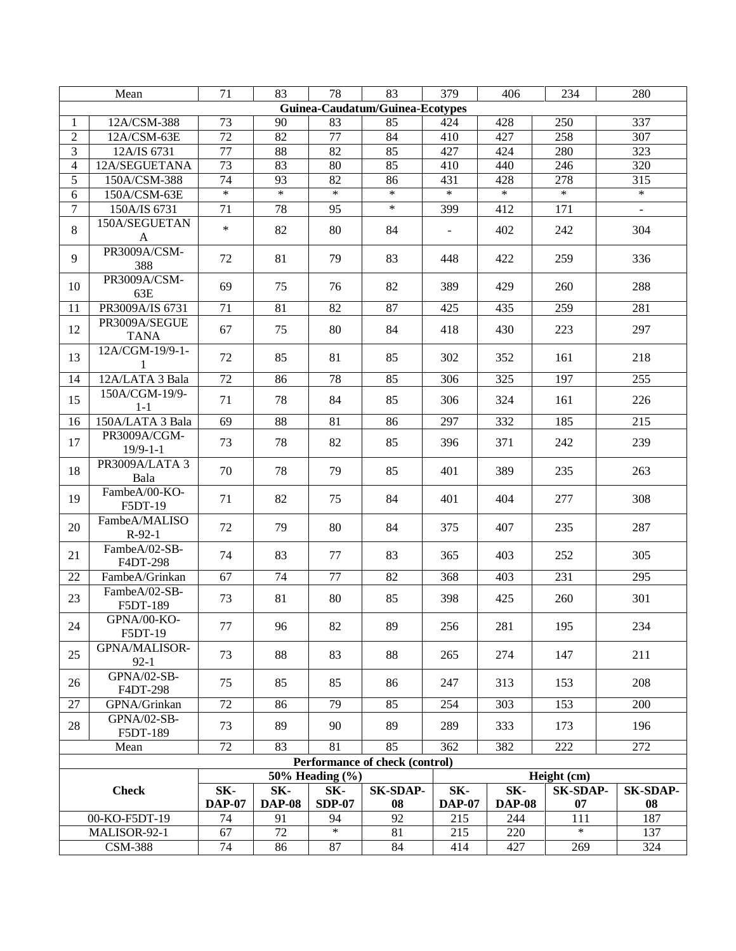|                | Mean                            | 71                    | 83                    | 78              | 83                              | 379           | 406              | 234             | 280              |
|----------------|---------------------------------|-----------------------|-----------------------|-----------------|---------------------------------|---------------|------------------|-----------------|------------------|
|                |                                 |                       |                       |                 | Guinea-Caudatum/Guinea-Ecotypes |               |                  |                 |                  |
| 1              | 12A/CSM-388                     | 73                    | 90                    | 83              | 85                              | 424           | 428              | 250             | 337              |
| $\sqrt{2}$     | 12A/CSM-63E                     | 72                    | $\overline{82}$       | 77              | $\overline{84}$                 | 410           | 427              | 258             | $\overline{307}$ |
| $\overline{3}$ | 12A/IS 6731                     | 77                    | $\overline{88}$       | $\overline{82}$ | 85                              | 427           | 424              | 280             | 323              |
| $\overline{4}$ | 12A/SEGUETANA                   | 73                    | $\overline{83}$       | $\overline{80}$ | 85                              | 410           | 440              | 246             | 320              |
| $\overline{5}$ | 150A/CSM-388                    | 74                    | 93                    | $\overline{82}$ | 86                              | 431           | 428              | 278             | $\overline{315}$ |
| $\overline{6}$ | 150A/CSM-63E                    | $\ast$                | $\ast$                | $\ast$          | $\ast$                          | $\ast$        | $\ast$           | $\ast$          | $\ast$           |
| $\tau$         | 150A/IS 6731                    | 71                    | 78                    | 95              | $\ast$                          | 399           | 412              | 171             | $\omega$         |
| $8\,$          | 150A/SEGUETAN<br>A              | $\ast$                | 82                    | 80              | 84                              |               | 402              | 242             | 304              |
| 9              | PR3009A/CSM-<br>388             | 72                    | 81                    | 79              | 83                              | 448           | 422              | 259             | 336              |
| 10             | PR3009A/CSM-<br>63E             | 69                    | 75                    | 76              | 82                              | 389           | 429              | 260             | 288              |
| 11             | PR3009A/IS 6731                 | $\overline{71}$       | 81                    | 82              | $\overline{87}$                 | 425           | 435              | 259             | 281              |
| 12             | PR3009A/SEGUE<br><b>TANA</b>    | 67                    | 75                    | 80              | 84                              | 418           | 430              | 223             | 297              |
| 13             | 12A/CGM-19/9-1-<br>$\mathbf{1}$ | 72                    | 85                    | 81              | 85                              | 302           | 352              | 161             | 218              |
| 14             | 12A/LATA 3 Bala                 | $\overline{72}$       | 86                    | 78              | 85                              | 306           | $\overline{325}$ | 197             | $\overline{255}$ |
| 15             | 150A/CGM-19/9-<br>$1 - 1$       | 71                    | 78                    | 84              | 85                              | 306           | 324              | 161             | 226              |
| 16             | 150A/LATA 3 Bala                | $\overline{69}$       | $\overline{88}$       | $\overline{81}$ | 86                              | 297           | 332              | 185             | $\overline{215}$ |
| 17             | PR3009A/CGM-<br>$19/9 - 1 - 1$  | 73                    | 78                    | 82              | 85                              | 396           | 371              | 242             | 239              |
| 18             | PR3009A/LATA 3<br>Bala          | 70                    | 78                    | 79              | 85                              | 401           | 389              | 235             | 263              |
| 19             | FambeA/00-KO-<br>F5DT-19        | 71                    | 82                    | 75              | 84                              | 401           | 404              | 277             | 308              |
| 20             | FambeA/MALISO<br>$R-92-1$       | 72                    | 79                    | 80              | 84                              | 375           | 407              | 235             | 287              |
| 21             | FambeA/02-SB-<br>F4DT-298       | 74                    | 83                    | 77              | 83                              | 365           | 403              | 252             | 305              |
| 22             | FambeA/Grinkan                  | 67                    | 74                    | 77              | 82                              | 368           | 403              | 231             | 295              |
| 23             | FambeA/02-SB-<br>F5DT-189       | 73                    | 81                    | 80              | 85                              | 398           | 425              | 260             | 301              |
| 24             | GPNA/00-KO-<br>F5DT-19          | 77                    | 96                    | 82              | 89                              | 256           | 281              | 195             | 234              |
| 25             | GPNA/MALISOR-<br>$92 - 1$       | 73                    | 88                    | 83              | 88                              | 265           | 274              | 147             | 211              |
| 26             | GPNA/02-SB-<br>F4DT-298         | 75                    | 85                    | 85              | 86                              | 247           | 313              | 153             | 208              |
| 27             | GPNA/Grinkan                    | 72                    | 86                    | 79              | 85                              | 254           | 303              | 153             | 200              |
| 28             | GPNA/02-SB-<br>F5DT-189         | 73                    | 89                    | 90              | 89                              | 289           | 333              | 173             | 196              |
|                | Mean                            | 72                    | 83                    | 81              | 85                              | 362           | 382              | 222             | 272              |
|                |                                 |                       |                       |                 | Performance of check (control)  |               |                  |                 |                  |
|                |                                 |                       |                       | 50% Heading (%) |                                 |               |                  | Height (cm)     |                  |
|                | <b>Check</b>                    | SK-                   | SK-                   | SK-             | <b>SK-SDAP-</b>                 | SK-           | SK-              | <b>SK-SDAP-</b> | <b>SK-SDAP-</b>  |
|                |                                 | <b>DAP-07</b>         | <b>DAP-08</b>         | <b>SDP-07</b>   | 08                              | <b>DAP-07</b> | <b>DAP-08</b>    | 07              | 08               |
|                | 00-KO-F5DT-19                   | 74<br>$\overline{67}$ | 91<br>$\overline{72}$ | 94<br>$\ast$    | $\overline{92}$                 | 215           | 244              | 111<br>$\ast$   | 187              |
|                | MALISOR-92-1<br><b>CSM-388</b>  | $\overline{74}$       | 86                    | $\overline{87}$ | 81<br>84                        | 215<br>414    | 220<br>427       | 269             | 137<br>324       |
|                |                                 |                       |                       |                 |                                 |               |                  |                 |                  |